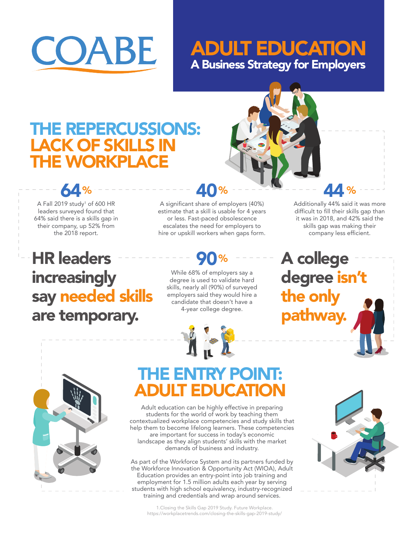

### A Business Strategy for Employers ADULT EDUCATION

### THE REPERCUSSIONS: LACK OF SKILLS IN THE WORKPLACE

A Fall 2019 study<sup>1</sup> of 600 HR leaders surveyed found that 64% said there is a skills gap in their company, up 52% from the 2018 report.

**64** 

**HR leaders increasingly** say needed skills are temporary.

A significant share of employers (40%) estimate that a skill is usable for 4 years or less. Fast-paced obsolescence escalates the need for employers to hire or upskill workers when gaps form. 40%

While 68% of employers say a degree is used to validate hard skills, nearly all (90%) of surveyed employers said they would hire a candidate that doesn't have a 4-year college degree.



Additionally 44% said it was more difficult to fill their skills gap than it was in 2018, and 42% said the skills gap was making their company less efficient.

<u>ЛЛ 9</u>

A college degree isn't the only thway



# THE ENTRY POINT: ADULT EDUCATION

Adult education can be highly effective in preparing students for the world of work by teaching them contextualized workplace competencies and study skills that help them to become lifelong learners. These competencies are important for success in today's economic landscape as they align students' skills with the market demands of business and industry.

As part of the Workforce System and its partners funded by the Workforce Innovation & Opportunity Act (WIOA), Adult Education provides an entry-point into job training and employment for 1.5 million adults each year by serving students with high school equivalency, industry-recognized training and credentials and wrap around services.



1.Closing the Skills Gap 2019 Study. Future Workplace. https://workplacetrends.com/closing-the-skills-gap-2019-study/